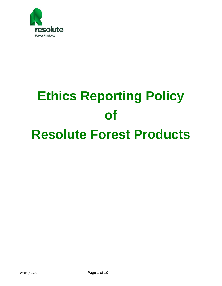

# **Ethics Reporting Policy of Resolute Forest Products**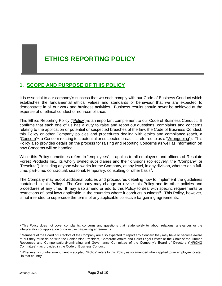# **ETHICS REPORTING POLICY**

## **1. SCOPE AND PURPOSE OF THIS POLICY**

It is essential to our company's success that we each comply with our Code of Business Conduct which establishes the fundamental ethical values and standards of behaviour that we are expected to demonstrate in all our work and business activities. Business results should never be achieved at the expense of unethical conduct or non-compliance.

This Ethics Reporting Policy ("Policy") is an important complement to our Code of Business Conduct. It confirms that each one of us has a duty to raise and report our questions, complaints and concerns relating to the application or potential or suspected breaches of the law, the Code of Business Conduct, this Policy or other Company policies and procedures dealing with ethics and compliance (each, a "Concern"<sup>1</sup>; a Concern relating to a potential or suspected breach is referred to as a "Wrongdoing"). This Policy also provides details on the process for raising and reporting Concerns as well as information on how Concerns will be handled.

While this Policy sometimes refers to "employees", it applies to all employees and officers of Resolute Forest Products Inc., its wholly owned subsidiaries and their divisions (collectively, the "Company" or "Resolute"), including anyone who works for the Company, at any level, in any division, whether on a fulltime, part-time, contractual, seasonal, temporary, consulting or other basis<sup>2</sup>.

The Company may adopt additional policies and procedures detailing how to implement the guidelines contained in this Policy. The Company may change or revise this Policy and its other policies and procedures at any time. It may also amend or add to this Policy to deal with specific requirements or restrictions of local laws applicable in the countries where it conducts business<sup>3</sup>. This Policy, however, is not intended to supersede the terms of any applicable collective bargaining agreements.

 $\overline{a}$ 

<sup>1</sup> This Policy does not cover complaints, concerns and questions that relate solely to labour relations, grievances or the interpretation or application of collective bargaining agreements.

<sup>&</sup>lt;sup>2</sup> Members of the Board of Directors of the Company are also expected to report any Concern they may have or become aware of but they must do so with the Senior Vice President, Corporate Affairs and Chief Legal Officer or the Chair of the Human Resources and Compensation/Nominating and Governance Committee of the Company's Board of Directors ("HRCNG Committee"), as provided in the Code of Business Conduct.

<sup>3</sup> Whenever a country amendment is adopted, "Policy" refers to this Policy as so amended when applied to an employee located in that country.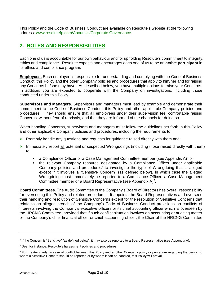This Policy and the Code of Business Conduct are available on Resolute's website at the following address: [www.resolutefp.com/About Us/Corporate Governance.](http://www.resolutefp.com/About%20Us/Corporate%20Governance)

# **2. ROLES AND RESPONSIBILITIES**

Each one of us is accountable for our own behaviour and for upholding Resolute's commitment to integrity, ethics and compliance. Resolute expects and encourages each one of us to be an **active participant** in its ethics and compliance program.

**Employees.** Each employee is responsible for understanding and complying with the Code of Business Conduct, this Policy and the other Company policies and procedures that apply to him/her and for raising any Concerns he/she may have. As described below, you have multiple options to raise your Concerns. In addition, you are expected to cooperate with the Company on investigations, including those conducted under this Policy.

**Supervisors and Managers.** Supervisors and managers must lead by example and demonstrate their commitment to the Code of Business Conduct, this Policy and other applicable Company policies and procedures. They should ensure that all employees under their supervision feel comfortable raising Concerns, without fear of reprisals, and that they are informed of the channels for doing so.

When handling Concerns, supervisors and managers must follow the guidelines set forth in this Policy and other applicable Company policies and procedures, including the requirements to:

- $\triangleright$  Promptly handle any questions and requests for quidance raised directly with them and
- $\triangleright$  Immediately report all potential or suspected Wrongdoings (including those raised directly with them) to:
	- a Compliance Officer or a Case Management Committee member (see Appendix A)<sup>4</sup> or
	- the relevant Company resource designated by a Compliance Officer under applicable Company policies and procedures<sup>5</sup> to investigate the type of Wrongdoing that is alleged except if it involves a "Sensitive Concern" (as defined below), in which case the alleged Wrongdoing must immediately be reported to a Compliance Officer, a Case Management Committee member or a Board Representative (see Appendix  $A$ )<sup>6</sup>.

**Board Committees.** The Audit Committee of the Company's Board of Directors has overall responsibility for overseeing this Policy and related procedures. It appoints the Board Representatives and oversees their handling and resolution of Sensitive Concerns except for the resolution of Sensitive Concerns that relate to an alleged breach of the Company's Code of Business Conduct provisions on conflicts of interests involving the Company's executive officers or its chief accounting officer which is overseen by the HRCNG Committee, provided that if such conflict situation involves an accounting or auditing matter or the Company's chief financial officer or chief accounting officer, the Chair of the HRCNG Committee

<sup>4</sup> If the Concern is "Sensitive" (as defined below), it may also be reported to a Board Representative (see Appendix A).

<sup>5</sup> See, for instance, Resolute's harassment policies and procedures.

<sup>&</sup>lt;sup>6</sup> For greater clarity, in case of conflict between this Policy and another Company policy or procedure regarding the person to whom a Sensitive Concern should be reported or by whom it can be handled, this Policy will prevail.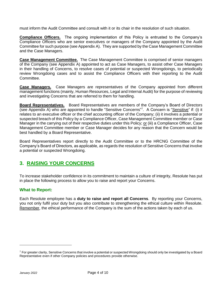must inform the Audit Committee and consult with it or its chair in the resolution of such situation.

**Compliance Officers.** The ongoing implementation of this Policy is entrusted to the Company's Compliance Officers who are senior executives or managers of the Company appointed by the Audit Committee for such purpose (see Appendix A). They are supported by the Case Management Committee and the Case Managers.

**Case Management Committee.** The Case Management Committee is comprised of senior managers of the Company (see Appendix A) appointed to act as Case Managers, to assist other Case Managers in their handling of Concerns, to resolve cases of potential or suspected Wrongdoings, to periodically review Wrongdoing cases and to assist the Compliance Officers with their reporting to the Audit Committee.

**Case Managers.** Case Managers are representatives of the Company appointed from different management functions (mainly, Human Resources, Legal and Internal Audit) for the purpose of reviewing and investigating Concerns that are referred to them for handling.

**Board Representatives.** Board Representatives are members of the Company's Board of Directors (see Appendix A) who are appointed to handle "Sensitive Concerns"<sup>7</sup>. A Concern is "Sensitive" if: (i) it relates to an executive officer or the chief accounting officer of the Company; (ii) it involves a potential or suspected breach of this Policy by a Compliance Officer, Case Management Committee member or Case Manager in the carrying out of their respective duties under this Policy; or (iii) a Compliance Officer, Case Management Committee member or Case Manager decides for any reason that the Concern would be best handled by a Board Representative.

Board Representatives report directly to the Audit Committee or to the HRCNG Committee of the Company's Board of Directors, as applicable, as regards the resolution of Sensitive Concerns that involve a potential or suspected Wrongdoing.

## **3. RAISING YOUR CONCERNS**

To increase stakeholder confidence in its commitment to maintain a culture of integrity, Resolute has put in place the following process to allow you to raise and report your Concerns.

#### **What to Report:**

Each Resolute employee has a **duty to raise and report all Concerns**. By reporting your Concerns, you not only fulfil your duty but you also contribute to strengthening the ethical culture within Resolute. Remember, the ethical performance of the Company is the sum of the actions taken by each of us.

 $7$  For greater clarity, Sensitive Concerns that involve a potential or suspected Wrongdoing should only be investigated by a Board Representative even if other Company policies and procedures provide otherwise.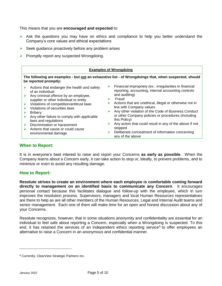This means that you are **encouraged and expected** to:

- $\triangleright$  Ask the questions you may have on ethics and compliance to help you better understand the Company's core values and ethical expectations
- $\triangleright$  Seek guidance proactively before any problem arises
- $\triangleright$  Promptly report any suspected Wrongdoing.



#### **When to Report:**

It is in everyone's best interest to raise and report your Concerns **as early as possible**. When the Company learns about a Concern early, it can take action to stop or, ideally, to prevent problems, and to minimize or even to avoid any resulting damage.

#### **How to Report:**

**Resolute strives to create an environment where each employee is comfortable coming forward directly to management on an identified basis to communicate any Concern**. It encourages personal contact because this facilitates dialogue and follow-up with the employee, which in turn improves the resolution process. Supervisors, managers and local Human Resources representatives are there to help as are all other members of the Human Resources, Legal and Internal Audit teams and senior management. Each one of them will make time for an open and honest discussion about any of your Concerns.

Resolute recognizes, however, that in some situations anonymity and confidentiality are essential for an individual to feel safe about reporting a Concern, especially when a Wrongdoing is suspected. To this end, it has retained the services of an independent ethics reporting service<sup>8</sup> to offer employees an alternative to raise a Concern in an anonymous and confidential manner.

 $\overline{a}$ 

<sup>8</sup> Currently[, ClearView Strategic Partners Inc.](http://www.clearviewpartners.com/)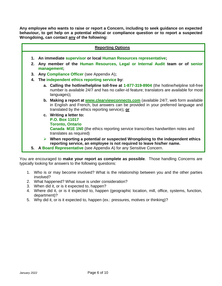**Any employee who wants to raise or report a Concern, including to seek guidance on expected behaviour, to get help on a potential ethical or compliance question or to report a suspected Wrongdoing, can contact any of the following:**

| <b>Reporting Options</b>                                            |                                                                                                                                                                                                                                                 |  |  |
|---------------------------------------------------------------------|-------------------------------------------------------------------------------------------------------------------------------------------------------------------------------------------------------------------------------------------------|--|--|
| 1. An immediate supervisor or local Human Resources representative; |                                                                                                                                                                                                                                                 |  |  |
| $2_{-}$                                                             | Any member of the Human Resources, Legal or Internal Audit team or of senior<br>management;                                                                                                                                                     |  |  |
| 3.                                                                  | Any Compliance Officer (see Appendix A);                                                                                                                                                                                                        |  |  |
| 4.                                                                  | The independent ethics reporting service by:                                                                                                                                                                                                    |  |  |
|                                                                     | a. Calling the hotline/helpline toll-free at 1-877-319-8904 (the hotline/helpline toll-free<br>number is available 24/7 and has no caller-id feature; translators are available for most<br>languages);                                         |  |  |
|                                                                     | b. Making a report at <b>www.clearviewconnects.com</b> (available 24/7, web form available<br>in English and French, but answers can be provided in your preferred language and<br>translated by the ethics reporting service); or              |  |  |
|                                                                     | c. Writing a letter to:<br><b>P.O. Box 11017</b><br><b>Toronto, Ontario</b><br><b>Canada M1E 1N0</b> (the ethics reporting service transcribes handwritten notes and<br>translates as required)                                                 |  |  |
|                                                                     | $\triangleright$ When reporting a potential or suspected Wrongdoing to the independent ethics<br>reporting service, an employee is not required to leave his/her name.<br>5. A Board Representative (see Appendix A) for any Sensitive Concern. |  |  |
|                                                                     |                                                                                                                                                                                                                                                 |  |  |

You are encouraged to **make your report as complete as possible**. Those handling Concerns are typically looking for answers to the following questions:

- 1. Who is or may become involved? What is the relationship between you and the other parties involved?
- 2. What happened? What issue is under consideration?
- 3. When did it, or is it expected to, happen?
- 4. Where did it, or is it expected to, happen (geographic location, mill, office, systems, function, department)?
- 5. Why did it, or is it expected to, happen (ex.: pressures, motives or thinking)?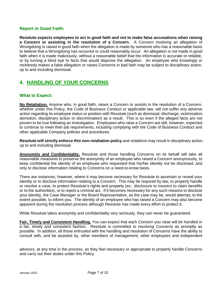#### **Report in Good Faith:**

**Resolute expects employees to act in good faith and not to make false accusations when raising a Concern or assisting in the resolution of a Concern**. A Concern involving an allegation of Wrongdoing is raised in good faith when the allegation is made by someone who has a reasonable basis to believe that a Wrongdoing has occurred or could reasonably occur. An allegation is not made in good faith when it is made maliciously, without a reasonable belief that the information is accurate or reliable, or by turning a blind eye to facts that would disprove the allegation. An employee who knowingly or recklessly makes a false allegation or raises Concerns in bad faith may be subject to disciplinary action, up to and including dismissal.

## **4. HANDLING OF YOUR CONCERNS**

#### **What to Expect:**

**No Retaliation.** Anyone who, in good faith, raises a Concern or assists in the resolution of a Concern, whether under this Policy, the Code of Business Conduct or applicable law, will not suffer any adverse action regarding its employee status or position with Resolute (such as dismissal, discharge, victimization, demotion, disciplinary action or discrimination) as a result. This is so even if the alleged facts are not proven to be true following an investigation. Employees who raise a Concern are still, however, expected to continue to meet their job requirements, including complying with the Code of Business Conduct and other applicable Company policies and procedures.

**Resolute will strictly enforce this non-retaliation policy** and violations may result in disciplinary action, up to and including dismissal.

**Anonymity and Confidentiality.** Resolute and those handling Concerns on its behalf will take all reasonable measures to preserve the anonymity of an employee who raised a Concern anonymously, to keep confidential the identity of an employee who requested that his/her identity not be disclosed, and only to disclose information relating to Concerns on a need-to-know basis.

There are instances, however, where it may become necessary for Resolute to ascertain or reveal your identity or to disclose information relating to a Concern. This may be required by law, to properly handle or resolve a case, to protect Resolute's rights and property (ex.: disclosure to insurers to claim benefits or to the authorities), or to report a criminal act. If it becomes necessary for any such reasons to disclose your identity, the Case Manager or the Board Representative, as the case may be, would attempt, to the extent possible, to inform you. The identity of an employee who has raised a Concern may also become apparent during the resolution process although Resolute has made every effort to protect it.

While Resolute takes anonymity and confidentiality very seriously, they can never be guaranteed.

**Fair, Timely and Consistent Handling.** You can expect that each Concern you raise will be handled in a fair, timely and consistent fashion. Resolute is committed to resolving Concerns as promptly as possible. In addition, all those entrusted with the handling and resolution of Concerns have the ability to consult with, and be assisted by, other members of management, other employees and independent

advisors, at any time in the process, as they feel necessary or appropriate to properly handle Concerns and carry out their duties under this Policy.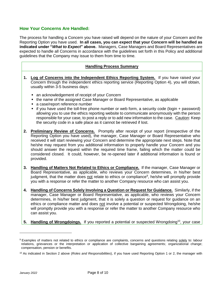#### **How Your Concerns Are Handled:**

The process for handling a Concern you have raised will depend on the nature of your Concern and the Reporting Option you have used. **In all cases, you can expect that your Concern will be handled as indicated under "***What to Expect***" above.** Managers, Case Managers and Board Representatives are expected to handle all Concerns in accordance with the guidelines set forth in this Policy and additional guidelines that the Company may issue to them from time to time.

#### **Handling Process Summary**

- **1. Log of Concerns into the Independent Ethics Reporting System.** If you have raised your Concern through the independent ethics reporting service (Reporting Option 4), you will obtain, usually within 3-5 business days:
	- an acknowledgement of receipt of your Concern
	- the name of the assigned Case Manager or Board Representative, as applicable
	- a case/report reference number
	- if you have used the toll-free phone number or web form, a security code (login + password) allowing you to use the ethics reporting website to communicate anonymously with the person responsible for your case, to post a reply or to add new information to the case. Caution: Keep the security code in a safe place as it cannot be retrieved if lost.
- **2. Preliminary Review of Concerns.** Promptly after receipt of your report (irrespective of the Reporting Option you have used), the manager, Case Manager or Board Representative who received it will start reviewing your Concern and determine the appropriate next steps. Note that he/she may request from you additional information to properly handle your Concern and you should answer the request within the required time frame, failing which the matter could be considered closed. It could, however, be re-opened later if additional information is found or provided.
- **3. Handling of Matters Not Related to Ethics or Compliance.** If the manager, Case Manager or Board Representative, as applicable, who reviews your Concern determines, in his/her best judgment, that the matter does not relate to ethics or compliance<sup>9</sup>, he/she will promptly provide you with a response or refer the matter to another Company resource who can assist you.
- **4. Handling of Concerns Solely Involving a Question or Request for Guidance.** Similarly, if the manager, Case Manager or Board Representative, as applicable, who reviews your Concern determines, in his/her best judgment, that it is solely a question or request for guidance on an ethics or compliance matter and does not involve a potential or suspected Wrongdoing, he/she will promptly provide you with a response or refer the matter to another Company resource who can assist you.
- 5. Handling of Wrongdoings. If you reported a potential or suspected Wrongdoing<sup>10</sup>, your case

<sup>9</sup> Examples of matters not related to ethics or compliance are complaints, concerns and questions relating solely to: labour relations, grievances or the interpretation or application of collective bargaining agreements; organizational change; compensation, pension or benefits.

<sup>10</sup> As indicated in Section 2 above (*Roles and Responsibilities*), if you have used Reporting Option 1 or 2, the manager with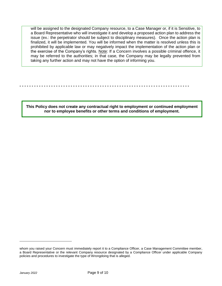will be assigned to the designated Company resource, to a Case Manager or, if it is Sensitive, to a Board Representative who will investigate it and develop a proposed action plan to address the issue (ex.: the perpetrator should be subject to disciplinary measures). Once the action plan is finalized, it will be implemented. You will be informed when the matter is resolved unless this is prohibited by applicable law or may negatively impact the implementation of the action plan or the exercise of the Company's rights. Note: If a Concern involves a possible criminal offence, it may be referred to the authorities; in that case, the Company may be legally prevented from taking any further action and may not have the option of informing you.

**- - - - - - - - - - - - - - - - - - - - - - - - - - - - - - - - - - - - - - - - - - - - - - - - - - - - - - - - - - - - - - - - - - - - - -**

**This Policy does not create any contractual right to employment or continued employment nor to employee benefits or other terms and conditions of employment.**

 $\overline{a}$ 

whom you raised your Concern must immediately report it to a Compliance Officer, a Case Management Committee member, a Board Representative or the relevant Company resource designated by a Compliance Officer under applicable Company policies and procedures to investigate the type of Wrongdoing that is alleged.